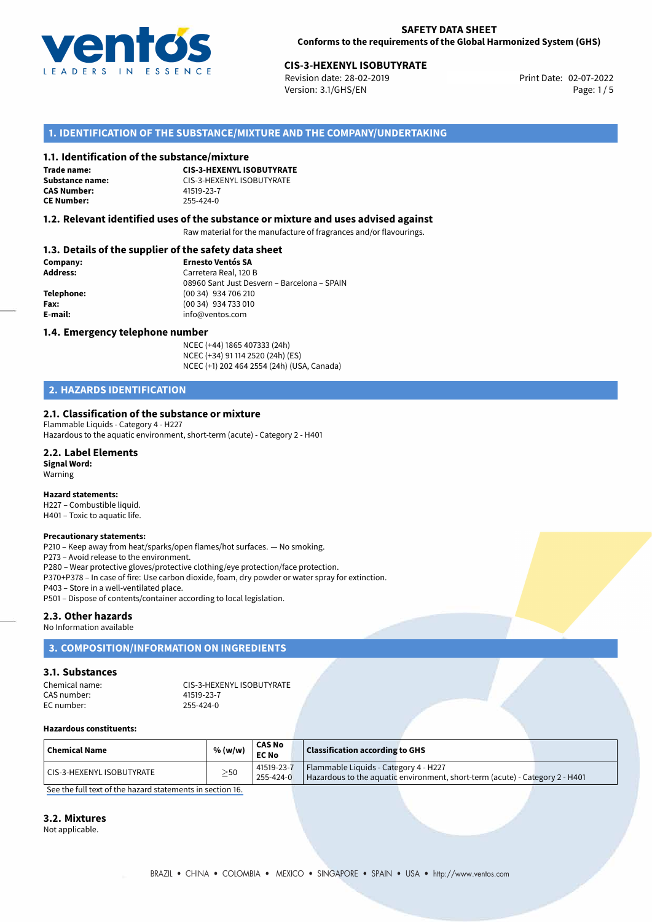

# **CIS-3-HEXENYL ISOBUTYRATE**<br>
Revision date: 28-02-2019<br> **Print Date: 02-07-2022**

Revision date: 28-02-2019 Version: 3.1/GHS/EN Page: 1 / 5

# **1. IDENTIFICATION OF THE SUBSTANCE/MIXTURE AND THE COMPANY/UNDERTAKING**

#### **1.1. Identification of the substance/mixture**

**Trade name: CAS Number: CE Number:** 255-424-0

**CIS-3-HEXENYL ISOBUTYRATE Substance name:** CIS-3-HEXENYL ISOBUTYRATE<br> **CAS Number:** 41519-23-7

### **1.2. Relevant identified uses of the substance or mixture and uses advised against**

Raw material for the manufacture of fragrances and/or flavourings.

# **1.3. Details of the supplier of the safety data sheet**

| Company:        | <b>Ernesto Ventós SA</b>                    |  |
|-----------------|---------------------------------------------|--|
| <b>Address:</b> | Carretera Real, 120 B                       |  |
|                 | 08960 Sant Just Desvern - Barcelona - SPAIN |  |
| Telephone:      | (00 34) 934 706 210                         |  |
| Fax:            | (00 34) 934 733 010                         |  |
| E-mail:         | info@ventos.com                             |  |
|                 |                                             |  |

#### **1.4. Emergency telephone number**

NCEC (+44) 1865 407333 (24h) NCEC (+34) 91 114 2520 (24h) (ES) NCEC (+1) 202 464 2554 (24h) (USA, Canada)

# **2. HAZARDS IDENTIFICATION**

### **2.1. Classification of the substance or mixture**

Flammable Liquids - Category 4 - H227 Hazardous to the aquatic environment, short-term (acute) - Category 2 - H401

#### **2.2. Label Elements**

**Signal Word:** Warning

## **Hazard statements:**

H227 – Combustible liquid. H401 – Toxic to aquatic life.

#### **Precautionary statements:**

P210 – Keep away from heat/sparks/open flames/hot surfaces. — No smoking.

P273 – Avoid release to the environment.

P280 – Wear protective gloves/protective clothing/eye protection/face protection.

P370+P378 – In case of fire: Use carbon dioxide, foam, dry powder or water spray for extinction.

P403 – Store in a well-ventilated place.

P501 – Dispose of contents/container according to local legislation.

### **2.3. Other hazards**

No Information available

# **3. COMPOSITION/INFORMATION ON INGREDIENTS**

# **3.1. Substances**

Chemical name: CIS-3-HEXENYL ISOBUTYRATE CAS number: EC number: 255-424-0

#### **Hazardous constituents:**

| $\mid$ Chemical Name      | % (w/w)   | <b>CAS No</b><br><b>EC No</b> | $\,$ Classification according to GHS $\,$                                    |
|---------------------------|-----------|-------------------------------|------------------------------------------------------------------------------|
| CIS-3-HEXENYL ISOBUTYRATE | $\geq$ 50 | 41519-23-7                    | Flammable Liquids - Category 4 - H227                                        |
|                           |           | 255-424-0                     | Hazardous to the aquatic environment, short-term (acute) - Category 2 - H401 |

[See the full text of the hazard statements in section 16.](#page--1-0)

## **3.2. Mixtures**

Not applicable.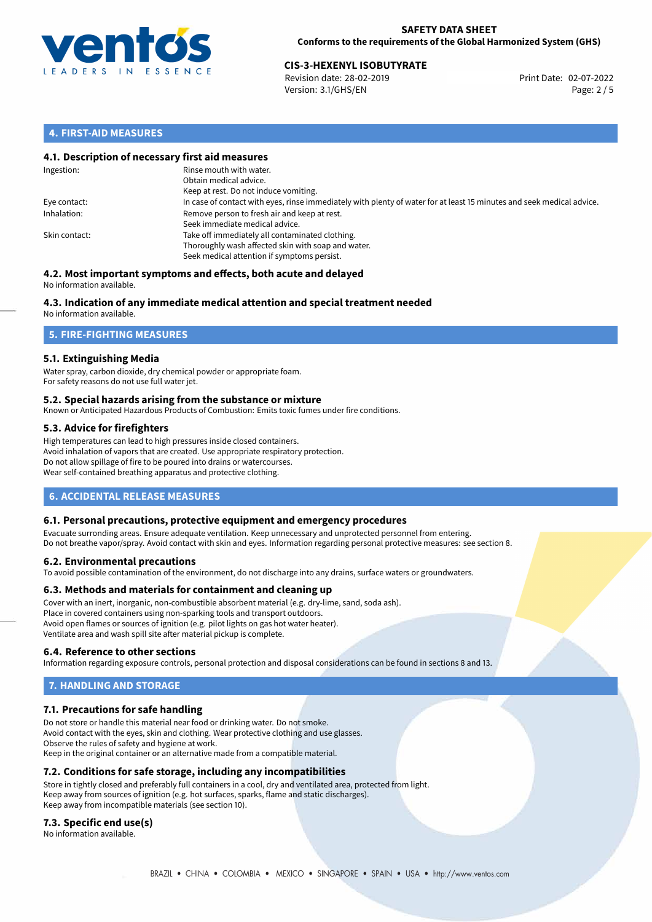

# **CIS-3-HEXENYL ISOBUTYRATE**<br>
Revision date: 28-02-2019<br> **CISC 2022** Print Date: 02-07-2022

Revision date: 28-02-2019 Version: 3.1/GHS/EN Page: 2 / 5

# **4. FIRST-AID MEASURES**

## **4.1. Description of necessary first aid measures**

| Ingestion:    | Rinse mouth with water.<br>Obtain medical advice.<br>Keep at rest. Do not induce vomiting.                                                           |
|---------------|------------------------------------------------------------------------------------------------------------------------------------------------------|
| Eye contact:  | In case of contact with eyes, rinse immediately with plenty of water for at least 15 minutes and seek medical advice.                                |
| Inhalation:   | Remove person to fresh air and keep at rest.<br>Seek immediate medical advice.                                                                       |
| Skin contact: | Take off immediately all contaminated clothing.<br>Thoroughly wash affected skin with soap and water.<br>Seek medical attention if symptoms persist. |

#### **4.2. Most important symptoms and effects, both acute and delayed** No information available.

# **4.3. Indication of any immediate medical attention and special treatment needed**

No information available.

# **5. FIRE-FIGHTING MEASURES**

# **5.1. Extinguishing Media**

Water spray, carbon dioxide, dry chemical powder or appropriate foam. For safety reasons do not use full water jet.

## **5.2. Special hazards arising from the substance or mixture**

Known or Anticipated Hazardous Products of Combustion: Emits toxic fumes under fire conditions.

# **5.3. Advice for firefighters**

High temperatures can lead to high pressures inside closed containers. Avoid inhalation of vapors that are created. Use appropriate respiratory protection. Do not allow spillage of fire to be poured into drains or watercourses. Wear self-contained breathing apparatus and protective clothing.

# **6. ACCIDENTAL RELEASE MEASURES**

## **6.1. Personal precautions, protective equipment and emergency procedures**

Evacuate surronding areas. Ensure adequate ventilation. Keep unnecessary and unprotected personnel from entering. Do not breathe vapor/spray. Avoid contact with skin and eyes. Information regarding personal protective measures: see section 8.

## **6.2. Environmental precautions**

To avoid possible contamination of the environment, do not discharge into any drains, surface waters or groundwaters.

## **6.3. Methods and materials for containment and cleaning up**

Cover with an inert, inorganic, non-combustible absorbent material (e.g. dry-lime, sand, soda ash). Place in covered containers using non-sparking tools and transport outdoors. Avoid open flames or sources of ignition (e.g. pilot lights on gas hot water heater). Ventilate area and wash spill site after material pickup is complete.

## **6.4. Reference to other sections**

Information regarding exposure controls, personal protection and disposal considerations can be found in sections 8 and 13.

# **7. HANDLING AND STORAGE**

# **7.1. Precautions for safe handling**

Do not store or handle this material near food or drinking water. Do not smoke. Avoid contact with the eyes, skin and clothing. Wear protective clothing and use glasses. Observe the rules of safety and hygiene at work. Keep in the original container or an alternative made from a compatible material.

## **7.2. Conditions for safe storage, including any incompatibilities**

Store in tightly closed and preferably full containers in a cool, dry and ventilated area, protected from light. Keep away from sources of ignition (e.g. hot surfaces, sparks, flame and static discharges). Keep away from incompatible materials (see section 10).

## **7.3. Specific end use(s)**

No information available.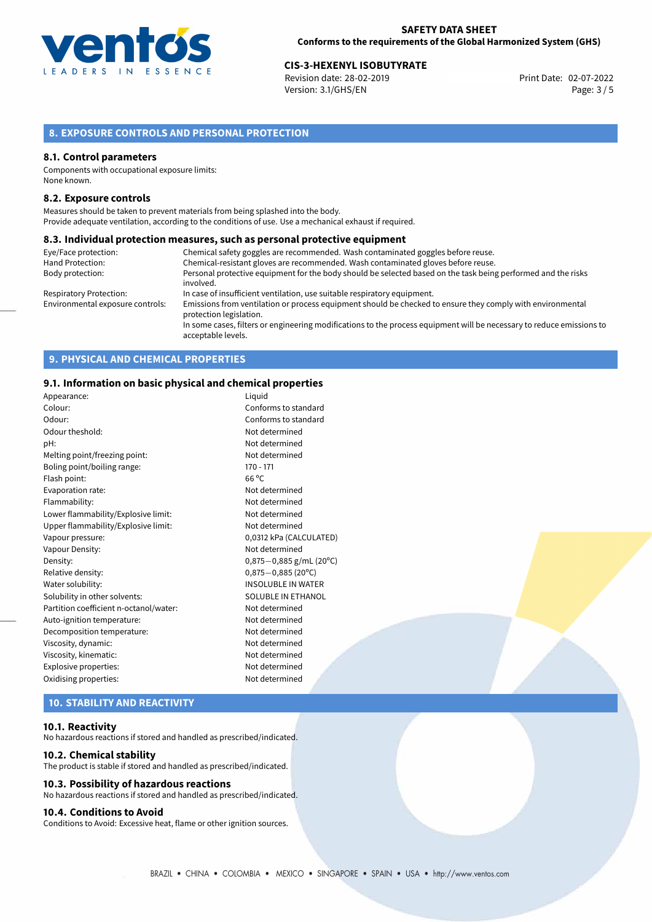

# **CIS-3-HEXENYL ISOBUTYRATE**<br>Revision date: 28-02-2019<br>**Print Date: 02-07-2022**

Revision date: 28-02-2019 Version: 3.1/GHS/EN Page: 3 / 5

# **8. EXPOSURE CONTROLS AND PERSONAL PROTECTION**

#### **8.1. Control parameters**

Components with occupational exposure limits: None known.

#### **8.2. Exposure controls**

Measures should be taken to prevent materials from being splashed into the body. Provide adequate ventilation, according to the conditions of use. Use a mechanical exhaust if required.

#### **8.3. Individual protection measures, such as personal protective equipment**

| Eye/Face protection:             | Chemical safety goggles are recommended. Wash contaminated goggles before reuse.                                                            |
|----------------------------------|---------------------------------------------------------------------------------------------------------------------------------------------|
| Hand Protection:                 | Chemical-resistant gloves are recommended. Wash contaminated gloves before reuse.                                                           |
| Body protection:                 | Personal protective equipment for the body should be selected based on the task being performed and the risks                               |
|                                  | involved.                                                                                                                                   |
| Respiratory Protection:          | In case of insufficient ventilation, use suitable respiratory equipment.                                                                    |
| Environmental exposure controls: | Emissions from ventilation or process equipment should be checked to ensure they comply with environmental<br>protection legislation.       |
|                                  | In some cases, filters or engineering modifications to the process equipment will be necessary to reduce emissions to<br>acceptable levels. |

# **9. PHYSICAL AND CHEMICAL PROPERTIES**

## **9.1. Information on basic physical and chemical properties**

| Appearance:                            | Liquid                    |
|----------------------------------------|---------------------------|
| Colour:                                | Conforms to standard      |
| Odour:                                 | Conforms to standard      |
| Odour theshold:                        | Not determined            |
| pH:                                    | Not determined            |
| Melting point/freezing point:          | Not determined            |
| Boling point/boiling range:            | $170 - 171$               |
| Flash point:                           | $66^{\circ}$ C            |
| Evaporation rate:                      | Not determined            |
| Flammability:                          | Not determined            |
| Lower flammability/Explosive limit:    | Not determined            |
| Upper flammability/Explosive limit:    | Not determined            |
| Vapour pressure:                       | 0,0312 kPa (CALCULATED)   |
| Vapour Density:                        | Not determined            |
| Density:                               | $0,875-0,885$ g/mL (20°C) |
| Relative density:                      | $0,875 - 0,885$ (20°C)    |
| Water solubility:                      | <b>INSOLUBLE IN WATER</b> |
| Solubility in other solvents:          | SOLUBLE IN ETHANOL        |
| Partition coefficient n-octanol/water: | Not determined            |
| Auto-ignition temperature:             | Not determined            |
| Decomposition temperature:             | Not determined            |
| Viscosity, dynamic:                    | Not determined            |
| Viscosity, kinematic:                  | Not determined            |
| Explosive properties:                  | Not determined            |
| Oxidising properties:                  | Not determined            |
|                                        |                           |

# **10. STABILITY AND REACTIVITY**

### **10.1. Reactivity**

No hazardous reactions if stored and handled as prescribed/indicated.

#### **10.2. Chemical stability**

The product is stable if stored and handled as prescribed/indicated.

## **10.3. Possibility of hazardous reactions**

No hazardous reactions if stored and handled as prescribed/indicated.

### **10.4. Conditions to Avoid**

Conditions to Avoid: Excessive heat, flame or other ignition sources.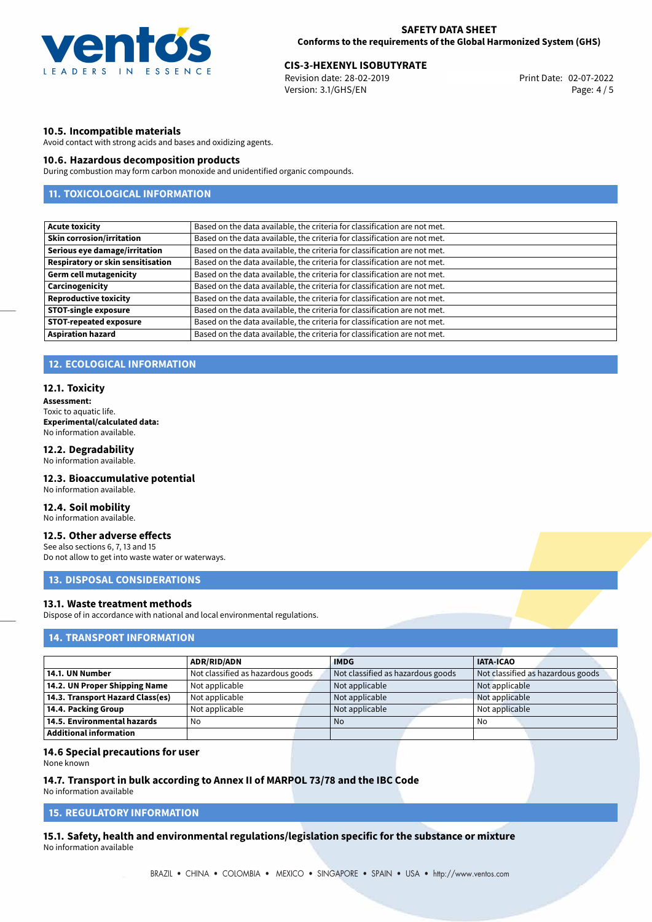

# **CIS-3-HEXENYL ISOBUTYRATE**<br>
Revision date: 28-02-2019<br> **Print Date: 02-07-2022**

Revision date: 28-02-2019 Version: 3.1/GHS/EN Page: 4 / 5

## **10.5. Incompatible materials**

Avoid contact with strong acids and bases and oxidizing agents.

### **10.6. Hazardous decomposition products**

During combustion may form carbon monoxide and unidentified organic compounds.

# **11. TOXICOLOGICAL INFORMATION**

| Based on the data available, the criteria for classification are not met. |
|---------------------------------------------------------------------------|
| Based on the data available, the criteria for classification are not met. |
| Based on the data available, the criteria for classification are not met. |
| Based on the data available, the criteria for classification are not met. |
| Based on the data available, the criteria for classification are not met. |
| Based on the data available, the criteria for classification are not met. |
| Based on the data available, the criteria for classification are not met. |
| Based on the data available, the criteria for classification are not met. |
| Based on the data available, the criteria for classification are not met. |
| Based on the data available, the criteria for classification are not met. |
|                                                                           |

## **12. ECOLOGICAL INFORMATION**

#### **12.1. Toxicity**

**Assessment:** Toxic to aquatic life. **Experimental/calculated data:** No information available.

## **12.2. Degradability**

No information available.

## **12.3. Bioaccumulative potential**

No information available.

# **12.4. Soil mobility**

No information available.

# **12.5. Other adverse effects**

See also sections 6, 7, 13 and 15 Do not allow to get into waste water or waterways.

# **13. DISPOSAL CONSIDERATIONS**

### **13.1. Waste treatment methods**

Dispose of in accordance with national and local environmental regulations.

# **14. TRANSPORT INFORMATION**

|                                  | <b>ADR/RID/ADN</b>                | <b>IMDG</b>                       | <b>IATA-ICAO</b>                  |
|----------------------------------|-----------------------------------|-----------------------------------|-----------------------------------|
| 14.1. UN Number                  | Not classified as hazardous goods | Not classified as hazardous goods | Not classified as hazardous goods |
| 14.2. UN Proper Shipping Name    | Not applicable                    | Not applicable                    | Not applicable                    |
| 14.3. Transport Hazard Class(es) | Not applicable                    | Not applicable                    | Not applicable                    |
| 14.4. Packing Group              | Not applicable                    | Not applicable                    | Not applicable                    |
| 14.5. Environmental hazards      | No                                | N <sub>o</sub>                    | No                                |
| Additional information           |                                   |                                   |                                   |

#### **14.6 Special precautions for user**

None known

# **14.7. Transport in bulk according to Annex II of MARPOL 73/78 and the IBC Code**

No information available

# **15. REGULATORY INFORMATION**

**15.1. Safety, health and environmental regulations/legislation specific for the substance or mixture** No information available